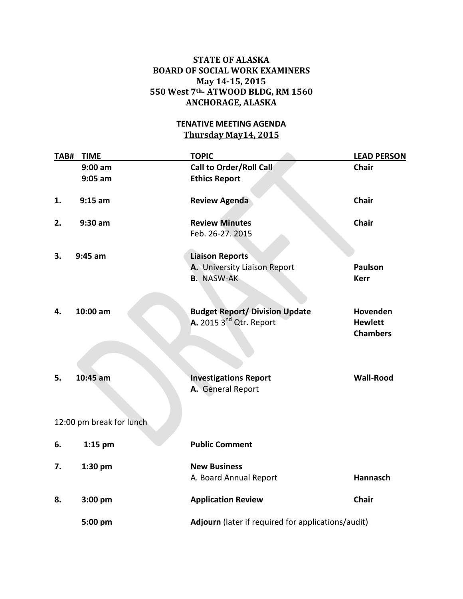## **STATE OF ALASKA BOARD OF SOCIAL WORK EXAMINERS May 14-15, 2015 550 West 7th- ATWOOD BLDG, RM 1560 ANCHORAGE, ALASKA**

## **TENATIVE MEETING AGENDA Thursday May14, 2015**

| TAB# | <b>TIME</b>              | <b>TOPIC</b>                                                                | <b>LEAD PERSON</b>                                 |  |
|------|--------------------------|-----------------------------------------------------------------------------|----------------------------------------------------|--|
|      | $9:00$ am<br>$9:05$ am   | <b>Call to Order/Roll Call</b><br><b>Ethics Report</b>                      | Chair                                              |  |
| 1.   | $9:15$ am                | <b>Review Agenda</b>                                                        | <b>Chair</b>                                       |  |
| 2.   | $9:30$ am                | <b>Review Minutes</b><br>Feb. 26-27. 2015                                   | <b>Chair</b>                                       |  |
| 3.   | $9:45$ am                | <b>Liaison Reports</b><br>A. University Liaison Report<br><b>B.</b> NASW-AK | <b>Paulson</b><br><b>Kerr</b>                      |  |
| 4.   | 10:00 am                 | <b>Budget Report/ Division Update</b><br>A. 2015 $3nd$ Qtr. Report          | Hovenden<br><b>Hewlett</b><br><b>Chambers</b>      |  |
| 5.   | 10:45 am                 | <b>Investigations Report</b><br>A. General Report                           | <b>Wall-Rood</b>                                   |  |
|      | 12:00 pm break for lunch |                                                                             |                                                    |  |
| 6.   | 1:15 pm                  | <b>Public Comment</b>                                                       |                                                    |  |
| 7.   | 1:30 pm                  | <b>New Business</b><br>A. Board Annual Report                               | <b>Hannasch</b>                                    |  |
| 8.   | 3:00 pm                  | <b>Application Review</b>                                                   | <b>Chair</b>                                       |  |
|      | 5:00 pm                  |                                                                             | Adjourn (later if required for applications/audit) |  |